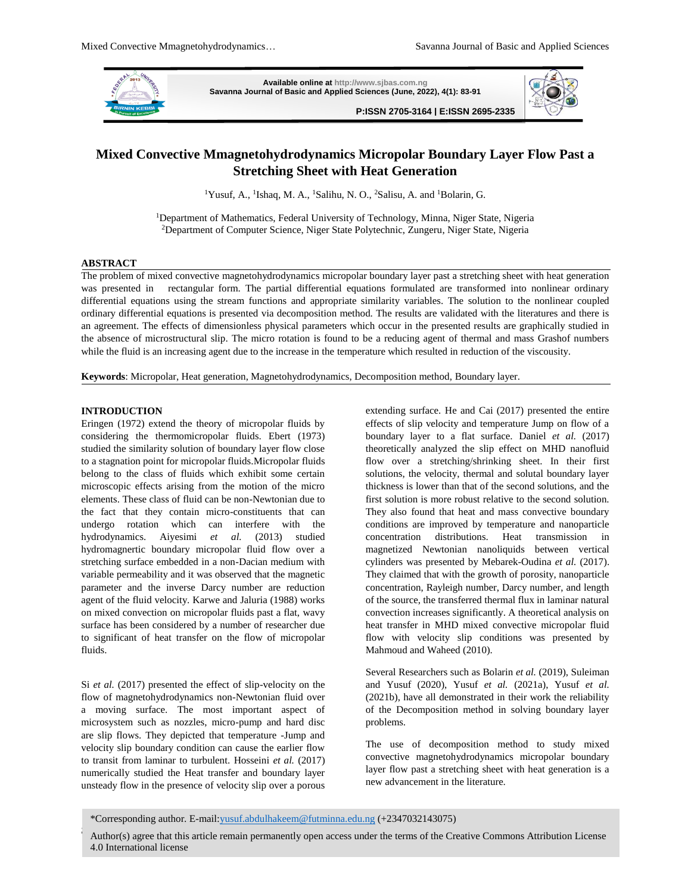

**Available online a[t http://www.sjbas.com.ng](http://www.sjbas.com.ng/) Savanna Journal of Basic and Applied Sciences (June, 2022), 4(1): 83-91**

**P:ISSN 2705-3164 | E:ISSN 2695-2335** 



# **Mixed Convective Mmagnetohydrodynamics Micropolar Boundary Layer Flow Past a Stretching Sheet with Heat Generation**

<sup>1</sup>Yusuf, A., <sup>1</sup>Ishaq, M. A., <sup>1</sup>Salihu, N. O., <sup>2</sup>Salisu, A. and <sup>1</sup>Bolarin, G.

<sup>1</sup>Department of Mathematics, Federal University of Technology, Minna, Niger State, Nigeria <sup>2</sup>Department of Computer Science, Niger State Polytechnic, Zungeru, Niger State, Nigeria

### **ABSTRACT**

The problem of mixed convective magnetohydrodynamics micropolar boundary layer past a stretching sheet with heat generation was presented in rectangular form. The partial differential equations formulated are transformed into nonlinear ordinary differential equations using the stream functions and appropriate similarity variables. The solution to the nonlinear coupled ordinary differential equations is presented via decomposition method. The results are validated with the literatures and there is an agreement. The effects of dimensionless physical parameters which occur in the presented results are graphically studied in the absence of microstructural slip. The micro rotation is found to be a reducing agent of thermal and mass Grashof numbers while the fluid is an increasing agent due to the increase in the temperature which resulted in reduction of the viscousity.

**Keywords**: Micropolar, Heat generation, Magnetohydrodynamics, Decomposition method, Boundary layer.

# **INTRODUCTION**

Eringen (1972) extend the theory of micropolar fluids by considering the thermomicropolar fluids. Ebert (1973) studied the similarity solution of boundary layer flow close to a stagnation point for micropolar fluids.Micropolar fluids belong to the class of fluids which exhibit some certain microscopic effects arising from the motion of the micro elements. These class of fluid can be non-Newtonian due to the fact that they contain micro-constituents that can undergo rotation which can interfere with the hydrodynamics. Aiyesimi *et al.* (2013) studied hydromagnertic boundary micropolar fluid flow over a stretching surface embedded in a non-Dacian medium with variable permeability and it was observed that the magnetic parameter and the inverse Darcy number are reduction agent of the fluid velocity. Karwe and Jaluria (1988) works on mixed convection on micropolar fluids past a flat, wavy surface has been considered by a number of researcher due to significant of heat transfer on the flow of micropolar fluids.

Si *et al.* (2017) presented the effect of slip-velocity on the flow of magnetohydrodynamics non-Newtonian fluid over a moving surface. The most important aspect of microsystem such as nozzles, micro-pump and hard disc are slip flows. They depicted that temperature -Jump and velocity slip boundary condition can cause the earlier flow to transit from laminar to turbulent. Hosseini *et al.* (2017) numerically studied the Heat transfer and boundary layer unsteady flow in the presence of velocity slip over a porous

extending surface. He and Cai (2017) presented the entire effects of slip velocity and temperature Jump on flow of a boundary layer to a flat surface. Daniel *et al.* (2017) theoretically analyzed the slip effect on MHD nanofluid flow over a stretching/shrinking sheet. In their first solutions, the velocity, thermal and solutal boundary layer thickness is lower than that of the second solutions, and the first solution is more robust relative to the second solution. They also found that heat and mass convective boundary conditions are improved by temperature and nanoparticle concentration distributions. Heat transmission in magnetized Newtonian nanoliquids between vertical cylinders was presented by Mebarek-Oudina *et al.* (2017). They claimed that with the growth of porosity, nanoparticle concentration, Rayleigh number, Darcy number, and length of the source, the transferred thermal flux in laminar natural convection increases significantly. A theoretical analysis on heat transfer in MHD mixed convective micropolar fluid flow with velocity slip conditions was presented by Mahmoud and Waheed (2010).

Several Researchers such as Bolarin *et al.* (2019), Suleiman and Yusuf (2020), Yusuf *et al.* (2021a), Yusuf *et al.* (2021b), have all demonstrated in their work the reliability of the Decomposition method in solving boundary layer problems.

The use of decomposition method to study mixed convective magnetohydrodynamics micropolar boundary layer flow past a stretching sheet with heat generation is a new advancement in the literature.

<sup>\*</sup>Corresponding author. E-mai[l:yusuf.abdulhakeem@futminna.edu.ng](mailto:yusuf.abdulhakeem@futminna.edu.ng) (+2347032143075)

Author(s) agree that this article remain permanently open access under the terms of the Creative Commons Attribution License 4.0 International license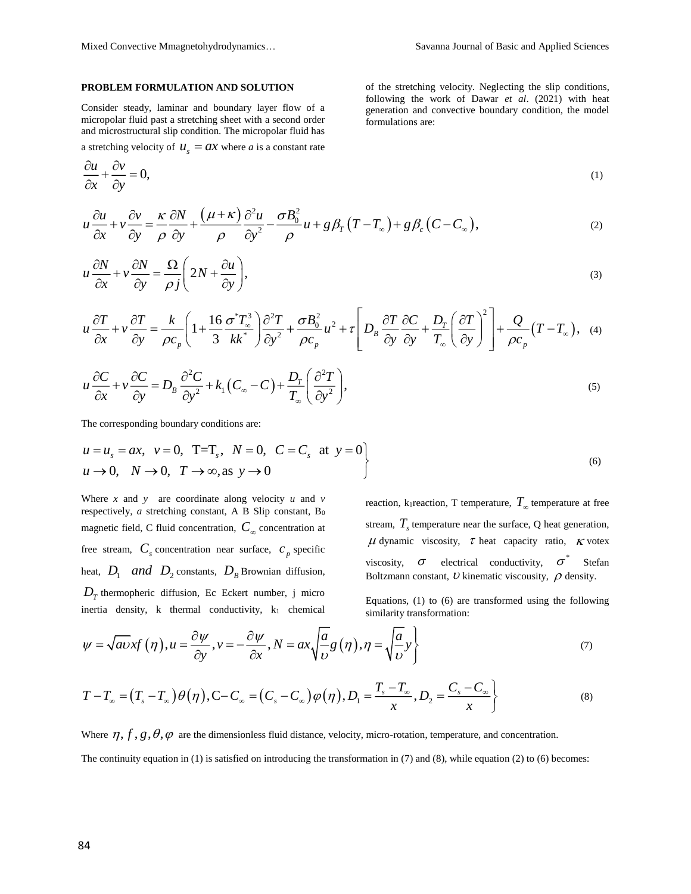$\frac{u}{-} + \frac{cv}{-} = 0,$ *x y*  $\frac{\partial u}{\partial x} + \frac{\partial v}{\partial y} =$ 

# **PROBLEM FORMULATION AND SOLUTION**

Consider steady, laminar and boundary layer flow of a micropolar fluid past a stretching sheet with a second order and microstructural slip condition. The micropolar fluid has a stretching velocity of  $u_s = ax$  where *a* is a constant rate of the stretching velocity. Neglecting the slip conditions, following the work of Dawar *et al*. (2021) with heat generation and convective boundary condition, the model formulations are:

$$
(1)
$$

$$
u\frac{\partial u}{\partial x} + v\frac{\partial v}{\partial y} = \frac{\kappa}{\rho}\frac{\partial N}{\partial y} + \frac{(\mu + \kappa)}{\rho}\frac{\partial^2 u}{\partial y^2} - \frac{\sigma B_0^2}{\rho}u + g\beta_T(T - T_\infty) + g\beta_c(C - C_\infty),
$$
\n(2)

$$
u\frac{\partial N}{\partial x} + v\frac{\partial N}{\partial y} = \frac{\Omega}{\rho j} \left( 2N + \frac{\partial u}{\partial y} \right),\tag{3}
$$

$$
u\frac{\partial T}{\partial x} + v\frac{\partial T}{\partial y} = \frac{k}{\rho c_p} \left( 1 + \frac{16}{3} \frac{\sigma^* T_\infty^3}{kk^*} \right) \frac{\partial^2 T}{\partial y^2} + \frac{\sigma B_0^2}{\rho c_p} u^2 + \tau \left[ D_B \frac{\partial T}{\partial y} \frac{\partial C}{\partial y} + \frac{D_T}{T_\infty} \left( \frac{\partial T}{\partial y} \right)^2 \right] + \frac{Q}{\rho c_p} (T - T_\infty), \quad (4)
$$

$$
u\frac{\partial C}{\partial x} + v\frac{\partial C}{\partial y} = D_B \frac{\partial^2 C}{\partial y^2} + k_1 (C_{\infty} - C) + \frac{D_T}{T_{\infty}} \left(\frac{\partial^2 T}{\partial y^2}\right),
$$
\n(5)

The corresponding boundary conditions are:

$$
u = us = ax, v = 0, T=Ts, N = 0, C = Cs at y = 0u \rightarrow 0, N \rightarrow 0, T \rightarrow \infty, as y \rightarrow 0
$$
\n
$$
(6)
$$

Where  $x$  and  $y$  are coordinate along velocity  $u$  and  $v$ respectively, *a* stretching constant, A B Slip constant, B<sub>0</sub> magnetic field, C fluid concentration,  $C_{\infty}$  concentration at free stream,  $C_s$  concentration near surface,  $c_p$  specific heat,  $D_1$  *and*  $D_2$  constants,  $D_B$  Brownian diffusion,  $D<sub>T</sub>$  thermopheric diffusion, Ec Eckert number, j micro inertia density,  $k$  thermal conductivity,  $k_1$  chemical

reaction, k<sub>1</sub> reaction, T temperature,  $T_{\infty}$  temperature at free stream,  $T<sub>s</sub>$  temperature near the surface, Q heat generation,  $\mu$  dynamic viscosity,  $\tau$  heat capacity ratio,  $\kappa$  votex viscosity,  $\sigma$  electrical conductivity,  $\sigma^*$ Stefan Boltzmann constant,  $U$  kinematic viscousity,  $\rho$  density.

Equations, (1) to (6) are transformed using the following similarity transformation:

$$
\psi = \sqrt{av}xf(\eta), u = \frac{\partial \psi}{\partial y}, v = -\frac{\partial \psi}{\partial x}, N = ax\sqrt{\frac{a}{v}}g(\eta), \eta = \sqrt{\frac{a}{v}}y\}
$$
(7)

$$
T - T_{\infty} = (T_s - T_{\infty})\theta(\eta), C - C_{\infty} = (C_s - C_{\infty})\phi(\eta), D_1 = \frac{T_s - T_{\infty}}{x}, D_2 = \frac{C_s - C_{\infty}}{x}
$$
(8)

Where  $\eta$ ,  $f$ ,  $g$ ,  $\theta$ ,  $\varphi$  are the dimensionless fluid distance, velocity, micro-rotation, temperature, and concentration.

The continuity equation in (1) is satisfied on introducing the transformation in (7) and (8), while equation (2) to (6) becomes: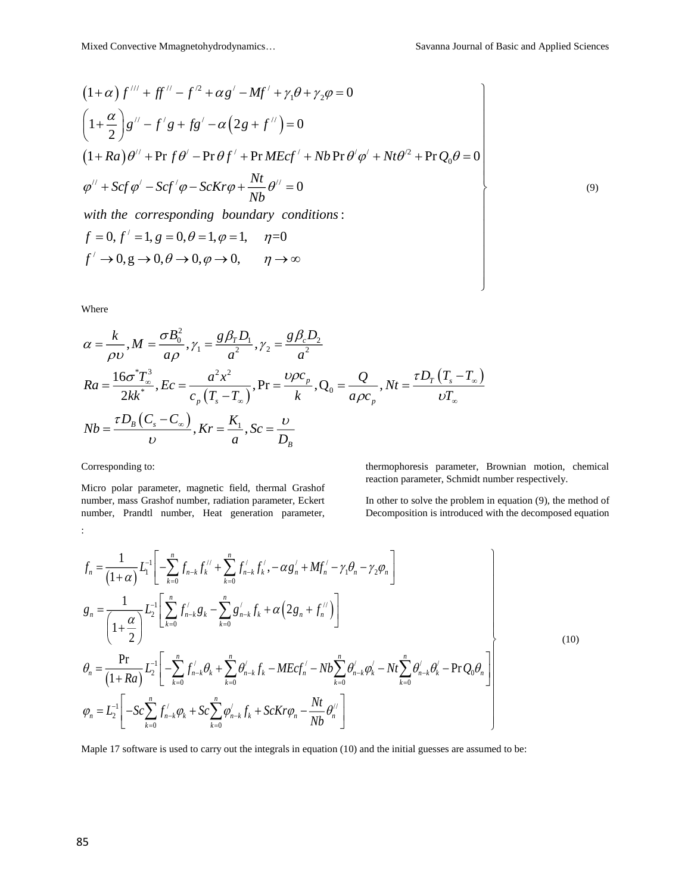(9)

$$
(1+\alpha) f''' + ff'' - f^2 + \alpha g' - Mf' + \gamma_1 \theta + \gamma_2 \varphi = 0
$$
  
\n
$$
\left(1 + \frac{\alpha}{2}\right) g'' - f'g + fg' - \alpha \left(2g + f''\right) = 0
$$
  
\n
$$
(1+Ra)\theta'' + \Pr f \theta' - \Pr \theta f' + \Pr M Ecf' + Nb \Pr \theta' \varphi' + Nt\theta'^2 + \Pr Q_0 \theta = 0
$$
  
\n
$$
\varphi'' + Scf \varphi' - Scf' \varphi - ScKr\varphi + \frac{Nt}{Nb} \theta'' = 0
$$
  
\nwith the corresponding boundary conditions:  
\n
$$
f = 0, f' = 1, g = 0, \theta = 1, \varphi = 1, \quad \eta = 0
$$
  
\n
$$
f' \to 0, g \to 0, \theta \to 0, \varphi \to 0, \quad \eta \to \infty
$$

Where

$$
\alpha = \frac{k}{\rho v}, M = \frac{\sigma B_0^2}{a \rho}, \gamma_1 = \frac{g \beta_r D_1}{a^2}, \gamma_2 = \frac{g \beta_c D_2}{a^2}
$$
  
\n
$$
Ra = \frac{16\sigma^* T_{\infty}^3}{2kk^*}, Ec = \frac{a^2 x^2}{c_p (T_s - T_{\infty})}, Pr = \frac{\nu \rho c_p}{k}, Q_0 = \frac{Q}{a \rho c_p}, Nt = \frac{\tau D_r (T_s - T_{\infty})}{\nu T_{\infty}}
$$
  
\n
$$
Nb = \frac{\tau D_s (C_s - C_{\infty})}{\nu}, Kr = \frac{K_1}{a}, Sc = \frac{\nu}{D_B}
$$

Corresponding to:

Micro polar parameter, magnetic field, thermal Grashof number, mass Grashof number, radiation parameter, Eckert number, Prandtl number, Heat generation parameter, :

thermophoresis parameter, Brownian motion, chemical reaction parameter, Schmidt number respectively.

In other to solve the problem in equation (9), the method of Decomposition is introduced with the decomposed equation

$$
f_{n} = \frac{1}{(1+\alpha)} L_{1}^{-1} \left[ -\sum_{k=0}^{n} f_{n-k} f_{k}^{1/2} + \sum_{k=0}^{n} f_{n-k} f_{k}^{1/2} - \alpha g_{n}^{1/2} + Mf_{n}^{1/2} - \gamma_{1} \theta_{n} - \gamma_{2} \phi_{n} \right]
$$
  
\n
$$
g_{n} = \frac{1}{\left( 1 + \frac{\alpha}{2} \right)} L_{2}^{-1} \left[ \sum_{k=0}^{n} f_{n-k}^{1/2} g_{k} - \sum_{k=0}^{n} g_{n-k}^{1/2} f_{k}^{1/2} + \alpha \left( 2 g_{n} + f_{n}^{1/2} \right) \right]
$$
  
\n
$$
\theta_{n} = \frac{\Pr}{\left( 1 + Ra \right)} L_{2}^{-1} \left[ -\sum_{k=0}^{n} f_{n-k}^{1/2} \theta_{k} + \sum_{k=0}^{n} \theta_{n-k}^{1/2} f_{k}^{1/2} - M E c f_{n}^{1/2} - N b \sum_{k=0}^{n} \theta_{n-k}^{1/2} \phi_{k}^{1/2} - N t \sum_{k=0}^{n} \theta_{n-k}^{1/2} \theta_{k}^{1/2} - \Pr Q_{0} \theta_{n} \right]
$$
  
\n
$$
\phi_{n} = L_{2}^{-1} \left[ -Sc \sum_{k=0}^{n} f_{n-k}^{1/2} \phi_{k} + Sc \sum_{k=0}^{n} \phi_{n-k}^{1/2} f_{k}^{1/2} + Sc K r \phi_{n} - \frac{N t}{N b} \theta_{n}^{1/2} \right]
$$
  
\n(10)

Maple 17 software is used to carry out the integrals in equation (10) and the initial guesses are assumed to be: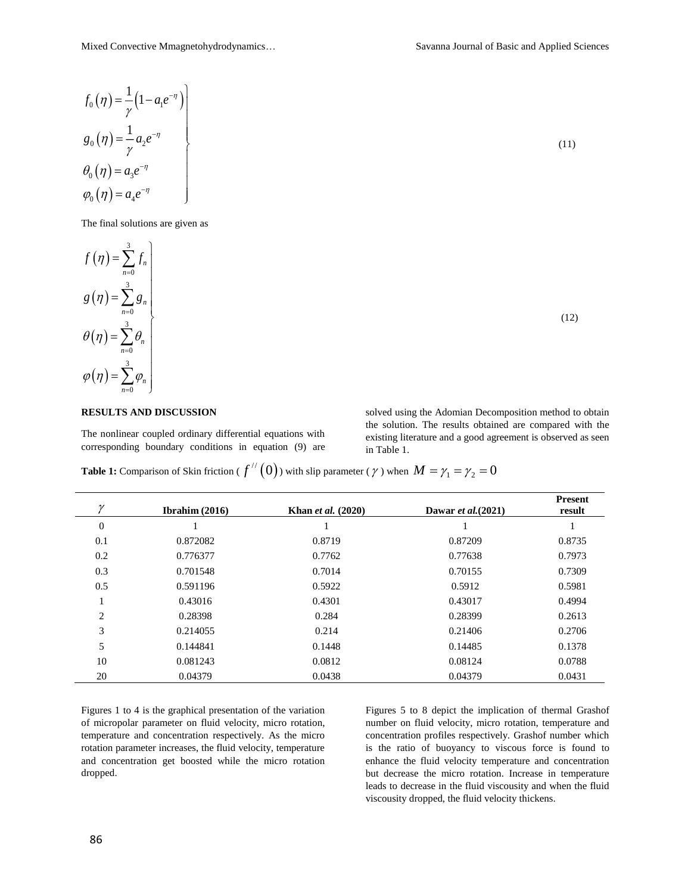$$
f_0(\eta) = \frac{1}{\gamma} (1 - a_1 e^{-\eta})
$$
  
\n
$$
g_0(\eta) = \frac{1}{\gamma} a_2 e^{-\eta}
$$
  
\n
$$
\theta_0(\eta) = a_3 e^{-\eta}
$$
  
\n
$$
\varphi_0(\eta) = a_4 e^{-\eta}
$$
\n(11)

The final solutions are given as



# **RESULTS AND DISCUSSION**

The nonlinear coupled ordinary differential equations with corresponding boundary conditions in equation (9) are solved using the Adomian Decomposition method to obtain the solution. The results obtained are compared with the existing literature and a good agreement is observed as seen in Table 1.

**Table 1:** Comparison of Skin friction (  $f''(0)$  ) with slip parameter (  $\gamma$  ) when  $M=\gamma_1=\gamma_2=0$ 

| $\gamma$       | Ibrahim $(2016)$ | <b>Khan</b> et al. (2020) | Dawar et al. $(2021)$ | <b>Present</b><br>result |
|----------------|------------------|---------------------------|-----------------------|--------------------------|
| $\overline{0}$ |                  |                           |                       |                          |
| 0.1            | 0.872082         | 0.8719                    | 0.87209               | 0.8735                   |
| 0.2            | 0.776377         | 0.7762                    | 0.77638               | 0.7973                   |
| 0.3            | 0.701548         | 0.7014                    | 0.70155               | 0.7309                   |
| 0.5            | 0.591196         | 0.5922                    | 0.5912                | 0.5981                   |
|                | 0.43016          | 0.4301                    | 0.43017               | 0.4994                   |
| $\overline{c}$ | 0.28398          | 0.284                     | 0.28399               | 0.2613                   |
| 3              | 0.214055         | 0.214                     | 0.21406               | 0.2706                   |
| 5              | 0.144841         | 0.1448                    | 0.14485               | 0.1378                   |
| 10             | 0.081243         | 0.0812                    | 0.08124               | 0.0788                   |
| 20             | 0.04379          | 0.0438                    | 0.04379               | 0.0431                   |

Figures 1 to 4 is the graphical presentation of the variation of micropolar parameter on fluid velocity, micro rotation, temperature and concentration respectively. As the micro rotation parameter increases, the fluid velocity, temperature and concentration get boosted while the micro rotation dropped.

Figures 5 to 8 depict the implication of thermal Grashof number on fluid velocity, micro rotation, temperature and concentration profiles respectively. Grashof number which is the ratio of buoyancy to viscous force is found to enhance the fluid velocity temperature and concentration but decrease the micro rotation. Increase in temperature leads to decrease in the fluid viscousity and when the fluid viscousity dropped, the fluid velocity thickens.

 $(12)$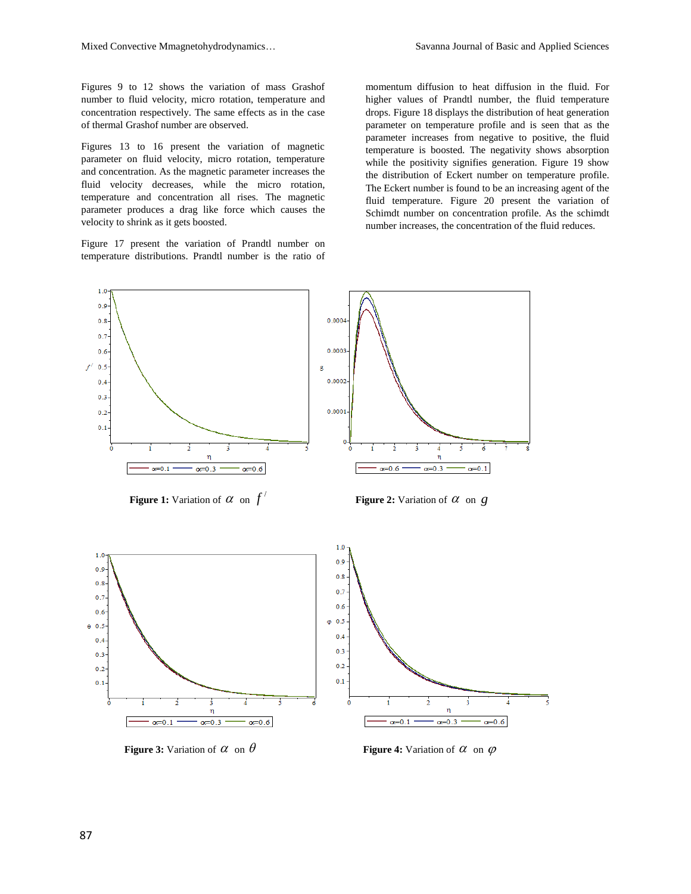Figures 9 to 12 shows the variation of mass Grashof number to fluid velocity, micro rotation, temperature and concentration respectively. The same effects as in the case of thermal Grashof number are observed.

Figures 13 to 16 present the variation of magnetic parameter on fluid velocity, micro rotation, temperature and concentration. As the magnetic parameter increases the fluid velocity decreases, while the micro rotation, temperature and concentration all rises. The magnetic parameter produces a drag like force which causes the velocity to shrink as it gets boosted.

Figure 17 present the variation of Prandtl number on temperature distributions. Prandtl number is the ratio of

momentum diffusion to heat diffusion in the fluid. For higher values of Prandtl number, the fluid temperature drops. Figure 18 displays the distribution of heat generation parameter on temperature profile and is seen that as the parameter increases from negative to positive, the fluid temperature is boosted. The negativity shows absorption while the positivity signifies generation. Figure 19 show the distribution of Eckert number on temperature profile. The Eckert number is found to be an increasing agent of the fluid temperature. Figure 20 present the variation of Schimdt number on concentration profile. As the schimdt number increases, the concentration of the fluid reduces.





**Figure 3:** Variation of  $\alpha$  on  $\theta$ 

 $\alpha$  on  $\theta$  **Figure 4:** Variation of  $\alpha$  on  $\varphi$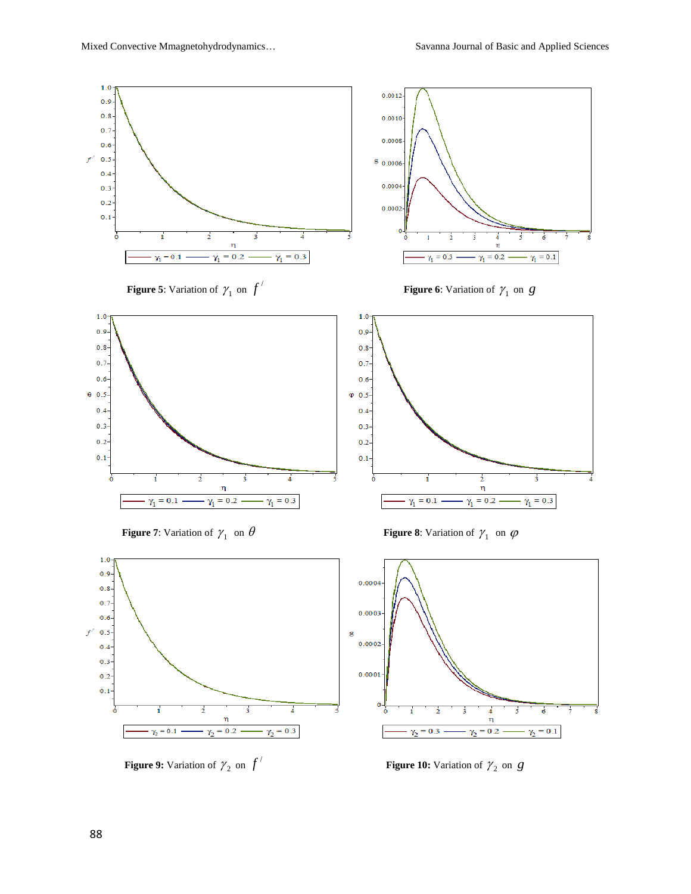



**Figure 9:** Variation of  $\gamma_2$  on  $f'$ 



 $f'$  **Figure 10:** Variation of  $\gamma_2$  on *g*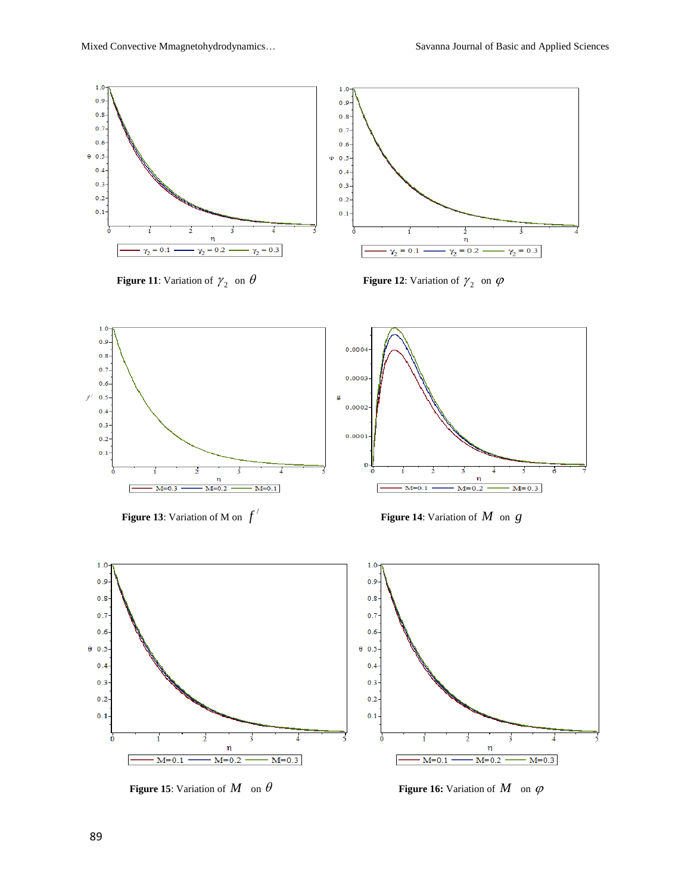

**Figure 11**: Variation of  $\gamma_2$ 

 $\gamma_2$  on  $\theta$  **Figure 12**: Variation of  $\gamma_2$  on  $\varphi$ 



**Figure 13**: Variation of M on  $f'$ 

*f* **Figure 14**: Variation of *M* on *g*



**Figure 15**: Variation of  $M$  on  $\theta$ 

 $M$  on  $\theta$  **Figure 16:** Variation of  $M$  on  $\varphi$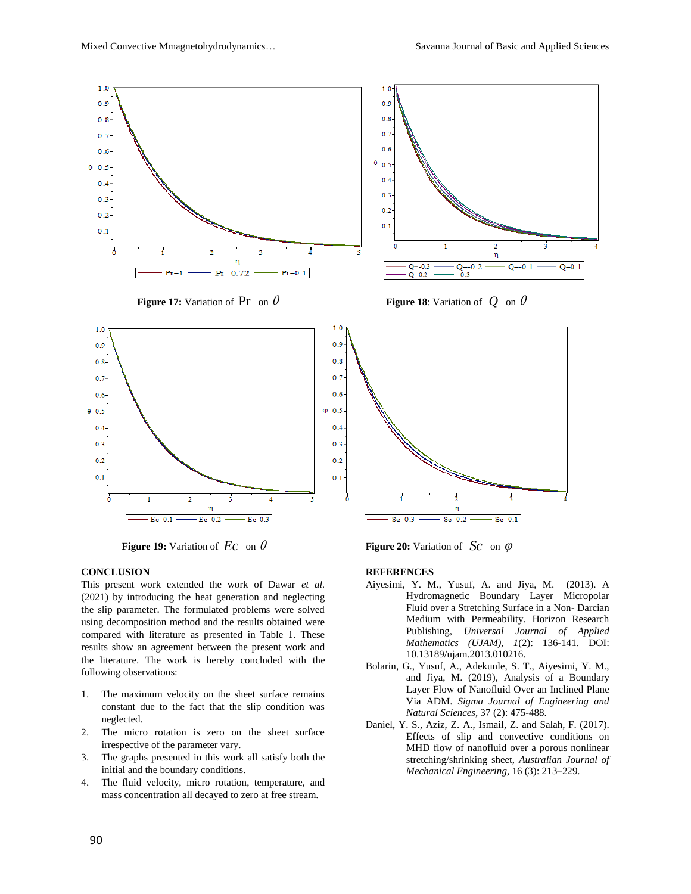

**Figure 19:** Variation of  $\mathbf{E}c$  on  $\theta$ 

# **CONCLUSION**

This present work extended the work of Dawar *et al.* (2021) by introducing the heat generation and neglecting the slip parameter. The formulated problems were solved using decomposition method and the results obtained were compared with literature as presented in Table 1. These results show an agreement between the present work and the literature. The work is hereby concluded with the following observations:

- 1. The maximum velocity on the sheet surface remains constant due to the fact that the slip condition was neglected.
- 2. The micro rotation is zero on the sheet surface irrespective of the parameter vary.
- 3. The graphs presented in this work all satisfy both the initial and the boundary conditions.
- 4. The fluid velocity, micro rotation, temperature, and mass concentration all decayed to zero at free stream.

 $Ec$  on  $\theta$  **Figure 20:** Variation of  $Sc$  on  $\varphi$ 

#### **REFERENCES**

- Aiyesimi, Y. M., Yusuf, A. and Jiya, M. (2013). A Hydromagnetic Boundary Layer Micropolar Fluid over a Stretching Surface in a Non- Darcian Medium with Permeability. Horizon Research Publishing, *Universal Journal of Applied Mathematics (UJAM)*, *1*(2): 136-141. DOI: 10.13189/ujam.2013.010216.
- Bolarin, G., Yusuf, A., Adekunle, S. T., Aiyesimi, Y. M., and Jiya, M. (2019), Analysis of a Boundary Layer Flow of Nanofluid Over an Inclined Plane Via ADM. *Sigma Journal of Engineering and Natural Sciences,* 37 (2): 475-488.
- Daniel, Y. S., Aziz, Z. A., Ismail, Z. and Salah, F. (2017). Effects of slip and convective conditions on MHD flow of nanofluid over a porous nonlinear stretching/shrinking sheet, *Australian Journal of Mechanical Engineering*, 16 (3): 213–229.